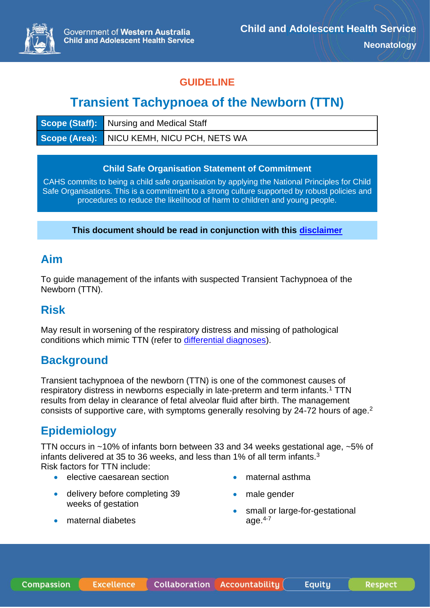

#### **GUIDELINE**

# **Transient Tachypnoea of the Newborn (TTN)**

| <b>Scope (Staff):</b> Nursing and Medical Staff |
|-------------------------------------------------|
| Scope (Area): NICU KEMH, NICU PCH, NETS WA      |

#### **Child Safe Organisation Statement of Commitment**

CAHS commits to being a child safe organisation by applying the National Principles for Child Safe Organisations. This is a commitment to a strong culture supported by robust policies and procedures to reduce the likelihood of harm to children and young people.

**This document should be read in conjunction with this [disclaimer](https://www.cahs.health.wa.gov.au/For-health-professionals/Resources/CAHS-Clinical-Disclaimer)**

### **Aim**

To guide management of the infants with suspected Transient Tachypnoea of the Newborn (TTN).

## **Risk**

May result in worsening of the respiratory distress and missing of pathological conditions which mimic TTN (refer to [differential diagnoses\)](#page-1-0).

## **Background**

Transient tachypnoea of the newborn (TTN) is one of the commonest causes of respiratory distress in newborns especially in late-preterm and term infants.<sup>1</sup> TTN results from delay in clearance of fetal alveolar fluid after birth. The management consists of supportive care, with symptoms generally resolving by 24-72 hours of age.<sup>2</sup>

# **Epidemiology**

TTN occurs in ~10% of infants born between 33 and 34 weeks gestational age, ~5% of infants delivered at 35 to 36 weeks, and less than 1% of all term infants.<sup>3</sup>

Risk factors for TTN include:

- elective caesarean section
- delivery before completing 39 weeks of gestation
- maternal diabetes
- maternal asthma
- male gender
- small or large-for-gestational age. $4-7$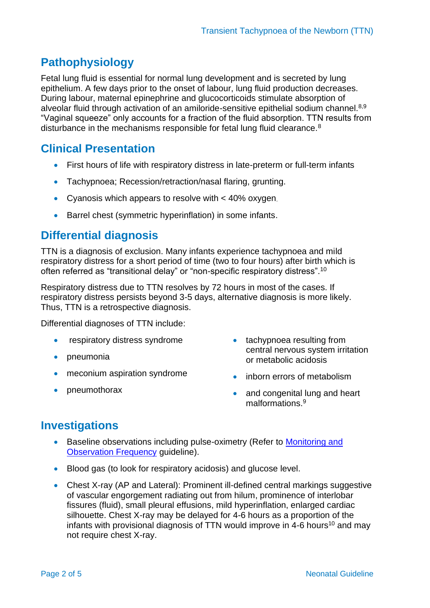# **Pathophysiology**

Fetal lung fluid is essential for normal lung development and is secreted by lung epithelium. A few days prior to the onset of labour, lung fluid production decreases. During labour, maternal epinephrine and glucocorticoids stimulate absorption of alveolar fluid through activation of an amiloride-sensitive epithelial sodium channel.<sup>8,9</sup> "Vaginal squeeze" only accounts for a fraction of the fluid absorption. TTN results from disturbance in the mechanisms responsible for fetal lung fluid clearance.<sup>8</sup>

## **Clinical Presentation**

- First hours of life with respiratory distress in late-preterm or full-term infants
- Tachypnoea; Recession/retraction/nasal flaring, grunting.
- Cyanosis which appears to resolve with < 40% oxygen.
- Barrel chest (symmetric hyperinflation) in some infants.

## <span id="page-1-0"></span>**Differential diagnosis**

TTN is a diagnosis of exclusion. Many infants experience tachypnoea and mild respiratory distress for a short period of time (two to four hours) after birth which is often referred as "transitional delay" or "non-specific respiratory distress".<sup>10</sup>

Respiratory distress due to TTN resolves by 72 hours in most of the cases. If respiratory distress persists beyond 3-5 days, alternative diagnosis is more likely. Thus, TTN is a retrospective diagnosis.

Differential diagnoses of TTN include:

- respiratory distress syndrome
- pneumonia
- meconium aspiration syndrome
- pneumothorax
- tachypnoea resulting from central nervous system irritation or metabolic acidosis
- inborn errors of metabolism
- and congenital lung and heart malformations.<sup>9</sup>

## **Investigations**

- Baseline observations including pulse-oximetry (Refer to Monitoring and [Observation Frequency](https://www.cahs.health.wa.gov.au/~/media/HSPs/CAHS/Documents/Health-Professionals/Neonatology-guidelines/Monitoring-and-Observation-Frequency.pdf?thn=0) guideline).
- Blood gas (to look for respiratory acidosis) and glucose level.
- Chest X-ray (AP and Lateral): Prominent ill-defined central markings suggestive of vascular engorgement radiating out from hilum, prominence of interlobar fissures (fluid), small pleural effusions, mild hyperinflation, enlarged cardiac silhouette. Chest X-ray may be delayed for 4-6 hours as a proportion of the infants with provisional diagnosis of TTN would improve in 4-6 hours<sup>10</sup> and may not require chest X-ray.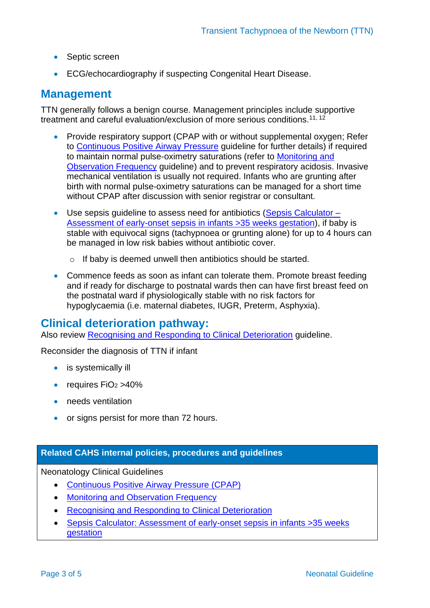- Septic screen
- ECG/echocardiography if suspecting Congenital Heart Disease.

#### **Management**

TTN generally follows a benign course. Management principles include supportive treatment and careful evaluation/exclusion of more serious conditions.<sup>11, 12</sup>

- Provide respiratory support (CPAP with or without supplemental oxygen; Refer to [Continuous Positive Airway Pressure](https://www.cahs.health.wa.gov.au/~/media/HSPs/CAHS/Documents/Health-Professionals/Neonatology-guidelines/Continuous-Positive-Airway-Pressure-CPAP.pdf?thn=0) guideline for further details) if required to maintain normal pulse-oximetry saturations (refer to [Monitoring](https://www.cahs.health.wa.gov.au/~/media/HSPs/CAHS/Documents/Health-Professionals/Neonatology-guidelines/Monitoring-and-Observation-Frequency.pdf?thn=0) and [Observation Frequency](https://www.cahs.health.wa.gov.au/~/media/HSPs/CAHS/Documents/Health-Professionals/Neonatology-guidelines/Monitoring-and-Observation-Frequency.pdf?thn=0) guideline) and to prevent respiratory acidosis. Invasive mechanical ventilation is usually not required. Infants who are grunting after birth with normal pulse-oximetry saturations can be managed for a short time without CPAP after discussion with senior registrar or consultant.
- Use sepsis quideline to assess need for antibiotics [\(Sepsis Calculator –](https://www.cahs.health.wa.gov.au/~/media/HSPs/CAHS/Documents/Health-Professionals/Neonatology-guidelines/Sepsis-Calculator.pdf?thn=0) [Assessment of early-onset sepsis in infants >35 weeks gestation\)](https://www.cahs.health.wa.gov.au/~/media/HSPs/CAHS/Documents/Health-Professionals/Neonatology-guidelines/Sepsis-Calculator.pdf?thn=0), if baby is stable with equivocal signs (tachypnoea or grunting alone) for up to 4 hours can be managed in low risk babies without antibiotic cover.
	- o If baby is deemed unwell then antibiotics should be started.
- Commence feeds as soon as infant can tolerate them. Promote breast feeding and if ready for discharge to postnatal wards then can have first breast feed on the postnatal ward if physiologically stable with no risk factors for hypoglycaemia (i.e. maternal diabetes, IUGR, Preterm, Asphyxia).

#### **Clinical deterioration pathway:**

Also review [Recognising and Responding to Clinical Deterioration](https://www.cahs.health.wa.gov.au/~/media/HSPs/CAHS/Documents/Health-Professionals/Neonatology-guidelines/Recognising-and-Responding-to-Clinical-Deterioration.pdf?thn=0) guideline.

Reconsider the diagnosis of TTN if infant

- is systemically ill
- requires  $FiO<sub>2</sub> > 40%$
- needs ventilation
- or signs persist for more than 72 hours.

#### **Related CAHS internal policies, procedures and guidelines**

Neonatology Clinical Guidelines

- [Continuous Positive Airway Pressure \(CPAP\)](https://www.cahs.health.wa.gov.au/~/media/HSPs/CAHS/Documents/Health-Professionals/Neonatology-guidelines/Continuous-Positive-Airway-Pressure-CPAP.pdf?thn=0)
- [Monitoring and Observation Frequency](https://www.cahs.health.wa.gov.au/~/media/HSPs/CAHS/Documents/Health-Professionals/Neonatology-guidelines/Monitoring-and-Observation-Frequency.pdf?thn=0)
- [Recognising and Responding to Clinical Deterioration](https://www.cahs.health.wa.gov.au/~/media/HSPs/CAHS/Documents/Health-Professionals/Neonatology-guidelines/Recognising-and-Responding-to-Clinical-Deterioration.pdf?thn=0)
- [Sepsis Calculator: Assessment of early-onset sepsis in infants >35 weeks](https://www.cahs.health.wa.gov.au/~/media/HSPs/CAHS/Documents/Health-Professionals/Neonatology-guidelines/Sepsis-Calculator.pdf?thn=0)  [gestation](https://www.cahs.health.wa.gov.au/~/media/HSPs/CAHS/Documents/Health-Professionals/Neonatology-guidelines/Sepsis-Calculator.pdf?thn=0)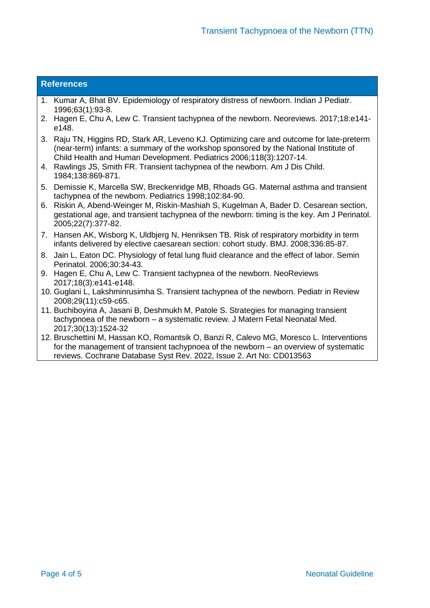#### **References**

- 1. Kumar A, Bhat BV. Epidemiology of respiratory distress of newborn. Indian J Pediatr. 1996;63(1):93-8.
- 2. Hagen E, Chu A, Lew C. Transient tachypnea of the newborn. Neoreviews. 2017;18:e141 e148.
- 3. Raju TN, Higgins RD, Stark AR, Leveno KJ. Optimizing care and outcome for late-preterm (near-term) infants: a summary of the workshop sponsored by the National Institute of Child Health and Human Development. Pediatrics 2006;118(3):1207-14.
- 4. Rawlings JS, Smith FR. Transient tachypnea of the newborn. Am J Dis Child. 1984;138:869-871.
- 5. Demissie K, Marcella SW, Breckenridge MB, Rhoads GG. Maternal asthma and transient tachypnea of the newborn. Pediatrics 1998;102:84-90.
- 6. Riskin A, Abend-Weinger M, Riskin-Mashiah S, Kugelman A, Bader D. Cesarean section, gestational age, and transient tachypnea of the newborn: timing is the key. Am J Perinatol. 2005;22(7):377-82.
- 7. Hansen AK, Wisborg K, Uldbjerg N, Henriksen TB. Risk of respiratory morbidity in term infants delivered by elective caesarean section: cohort study. BMJ. 2008;336:85-87.
- 8. Jain L, Eaton DC. Physiology of fetal lung fluid clearance and the effect of labor. Semin Perinatol. 2006;30:34-43.
- 9. Hagen E, Chu A, Lew C. Transient tachypnea of the newborn. NeoReviews 2017;18(3):e141-e148.
- 10. Guglani L, Lakshminrusimha S. Transient tachypnea of the newborn. Pediatr in Review 2008;29(11):c59-c65.
- 11. Buchiboyina A, Jasani B, Deshmukh M, Patole S. Strategies for managing transient tachypnoea of the newborn – a systematic review. J Matern Fetal Neonatal Med. 2017;30(13):1524-32
- 12. Bruschettini M, Hassan KO, Romantsik O, Banzi R, Calevo MG, Moresco L. Interventions for the management of transient tachypnoea of the newborn – an overview of systematic reviews. Cochrane Database Syst Rev. 2022, Issue 2. Art No: CD013563